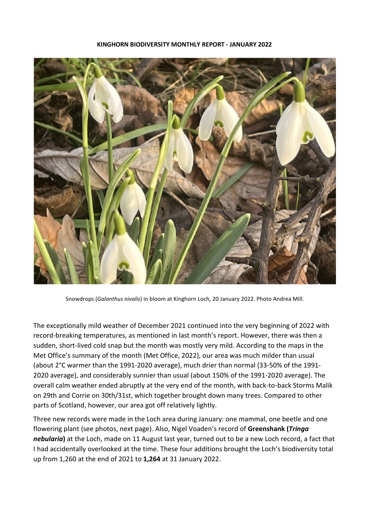



Snowdrops (*Galanthus nivalis*) in bloom at Kinghorn Loch, 20 January 2022. Photo Andrea Mill.

The exceptionally mild weather of December 2021 continued into the very beginning of 2022 with record-breaking temperatures, as mentioned in last month's report. However, there was then a sudden, short-lived cold snap but the month was mostly very mild. According to the maps in the Met Office's summary of the month (Met Office, 2022), our area was much milder than usual (about 2°C warmer than the 1991-2020 average), much drier than normal (33-50% of the 1991- 2020 average), and considerably sunnier than usual (about 150% of the 1991-2020 average). The overall calm weather ended abruptly at the very end of the month, with back-to-back Storms Malik on 29th and Corrie on 30th/31st, which together brought down many trees. Compared to other parts of Scotland, however, our area got off relatively lightly.

Three new records were made in the Loch area during January: one mammal, one beetle and one flowering plant (see photos, next page). Also, Nigel Voaden's record of **Greenshank (***Tringa nebularia***)** at the Loch, made on 11 August last year, turned out to be a new Loch record, a fact that I had accidentally overlooked at the time. These four additions brought the Loch's biodiversity total up from 1,260 at the end of 2021 to **1,264** at 31 January 2022.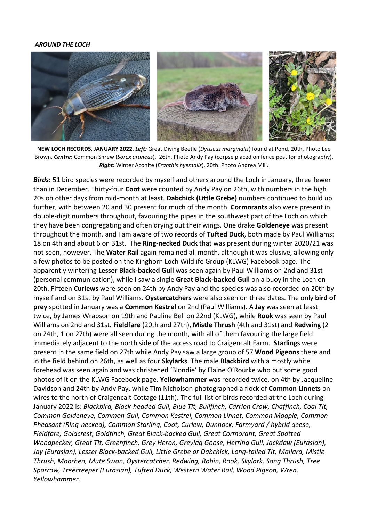## *AROUND THE LOCH*



**NEW LOCH RECORDS, JANUARY 2022.** *Left:* Great Diving Beetle (*Dytiscus marginalis*) found at Pond, 20th. Photo Lee Brown. *Centre***:** Common Shrew (*Sorex araneus*), 26th. Photo Andy Pay (corpse placed on fence post for photography). *Right***:** Winter Aconite (*Eranthis hyemalis*), 20th. Photo Andrea Mill.

*Birds***:** 51 bird species were recorded by myself and others around the Loch in January, three fewer than in December. Thirty-four **Coot** were counted by Andy Pay on 26th, with numbers in the high 20s on other days from mid-month at least. **Dabchick (Little Grebe)** numbers continued to build up further, with between 20 and 30 present for much of the month. **Cormorants** also were present in double-digit numbers throughout, favouring the pipes in the southwest part of the Loch on which they have been congregating and often drying out their wings. One drake **Goldeneye** was present throughout the month, and I am aware of two records of **Tufted Duck**, both made by Paul Williams: 18 on 4th and about 6 on 31st. The **Ring-necked Duck** that was present during winter 2020/21 was not seen, however. The **Water Rail** again remained all month, although it was elusive, allowing only a few photos to be posted on the Kinghorn Loch Wildlife Group (KLWG) Facebook page. The apparently wintering **Lesser Black-backed Gull** was seen again by Paul Williams on 2nd and 31st (personal communication), while I saw a single **Great Black-backed Gull** on a buoy in the Loch on 20th. Fifteen **Curlews** were seen on 24th by Andy Pay and the species was also recorded on 20th by myself and on 31st by Paul Williams. **Oystercatchers** were also seen on three dates. The only **bird of prey** spotted in January was a **Common Kestrel** on 2nd (Paul Williams). A **Jay** was seen at least twice, by James Wrapson on 19th and Pauline Bell on 22nd (KLWG), while **Rook** was seen by Paul Williams on 2nd and 31st. **Fieldfare** (20th and 27th), **Mistle Thrush** (4th and 31st) and **Redwing** (2 on 24th, 1 on 27th) were all seen during the month, with all of them favouring the large field immediately adjacent to the north side of the access road to Craigencalt Farm. **Starlings** were present in the same field on 27th while Andy Pay saw a large group of 57 **Wood Pigeons** there and in the field behind on 26th, as well as four **Skylarks**. The male **Blackbird** with a mostly white forehead was seen again and was christened 'Blondie' by Elaine O'Rourke who put some good photos of it on the KLWG Facebook page. **Yellowhammer** was recorded twice, on 4th by Jacqueline Davidson and 24th by Andy Pay, while Tim Nicholson photographed a flock of **Common Linnets** on wires to the north of Craigencalt Cottage (11th). The full list of birds recorded at the Loch during January 2022 is: *Blackbird, Black-headed Gull, Blue Tit, Bullfinch, Carrion Crow, Chaffinch, Coal Tit, Common Goldeneye, Common Gull, Common Kestrel, Common Linnet, Common Magpie, Common Pheasant (Ring-necked), Common Starling, Coot, Curlew, Dunnock, Farmyard / hybrid geese, Fieldfare, Goldcrest, Goldfinch, Great Black-backed Gull, Great Cormorant, Great Spotted Woodpecker, Great Tit, Greenfinch, Grey Heron, Greylag Goose, Herring Gull, Jackdaw (Eurasian), Jay (Eurasian), Lesser Black-backed Gull, Little Grebe or Dabchick, Long-tailed Tit, Mallard, Mistle Thrush, Moorhen, Mute Swan, Oystercatcher, Redwing, Robin, Rook, Skylark, Song Thrush, Tree Sparrow, Treecreeper (Eurasian), Tufted Duck, Western Water Rail, Wood Pigeon, Wren, Yellowhammer.*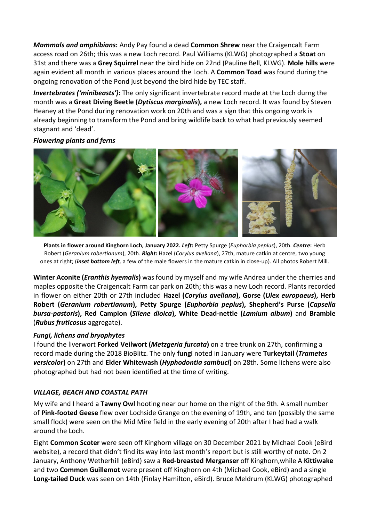*Mammals and amphibians***:** Andy Pay found a dead **Common Shrew** near the Craigencalt Farm access road on 26th; this was a new Loch record. Paul Williams (KLWG) photographed a **Stoat** on 31st and there was a **Grey Squirrel** near the bird hide on 22nd (Pauline Bell, KLWG). **Mole hills** were again evident all month in various places around the Loch. A **Common Toad** was found during the ongoing renovation of the Pond just beyond the bird hide by TEC staff.

*Invertebrates ('minibeasts')***:** The only significant invertebrate record made at the Loch durng the month was a **Great Diving Beetle (***Dytiscus marginalis***),** a new Loch record. It was found by Steven Heaney at the Pond during renovation work on 20th and was a sign that this ongoing work is already beginning to transform the Pond and bring wildlife back to what had previously seemed stagnant and 'dead'.

# *Flowering plants and ferns*



**Plants in flower around Kinghorn Loch, January 2022.** *Left***:** Petty Spurge (*Euphorbia peplus*), 20th. *Centre***:** Herb Robert (*Geranium robertianum*), 20th. *Right***:** Hazel (*Corylus avellana*), 27th, mature catkin at centre, two young ones at right; (*inset bottom left,* a few of the male flowers in the mature catkin in close-up). All photos Robert Mill.

**Winter Aconite (***Eranthis hyemalis***)** was found by myself and my wife Andrea under the cherries and maples opposite the Craigencalt Farm car park on 20th; this was a new Loch record. Plants recorded in flower on either 20th or 27th included **Hazel (***Corylus avellana***), Gorse (***Ulex europaeus***), Herb Robert (***Geranium robertianum***), Petty Spurge (***Euphorbia peplus***), Shepherd's Purse (***Capsella bursa-pastoris***), Red Campion (***Silene dioica***), White Dead-nettle (***Lamium album***)** and **Bramble**  (*Rubus fruticosus* aggregate).

# *Fungi, lichens and bryophytes*

I found the liverwort **Forked Veilwort (***Metzgeria furcata***)** on a tree trunk on 27th, confirming a record made during the 2018 BioBlitz. The only **fungi** noted in January were **Turkeytail (***Trametes versicolor***)** on 27th and **Elder Whitewash (***Hyphodontia sambuci***)** on 28th. Some lichens were also photographed but had not been identified at the time of writing.

# *VILLAGE, BEACH AND COASTAL PATH*

My wife and I heard a **Tawny Owl** hooting near our home on the night of the 9th. A small number of **Pink-footed Geese** flew over Lochside Grange on the evening of 19th, and ten (possibly the same small flock) were seen on the Mid Mire field in the early evening of 20th after I had had a walk around the Loch.

Eight **Common Scoter** were seen off Kinghorn village on 30 December 2021 by Michael Cook (eBird website), a record that didn't find its way into last month's report but is still worthy of note. On 2 January, Anthony Wetherhill (eBird) saw a **Red-breasted Merganser** off Kinghorn,while A **Kittiwake**  and two **Common Guillemot** were present off Kinghorn on 4th (Michael Cook, eBird) and a single **Long-tailed Duck** was seen on 14th (Finlay Hamilton, eBird). Bruce Meldrum (KLWG) photographed